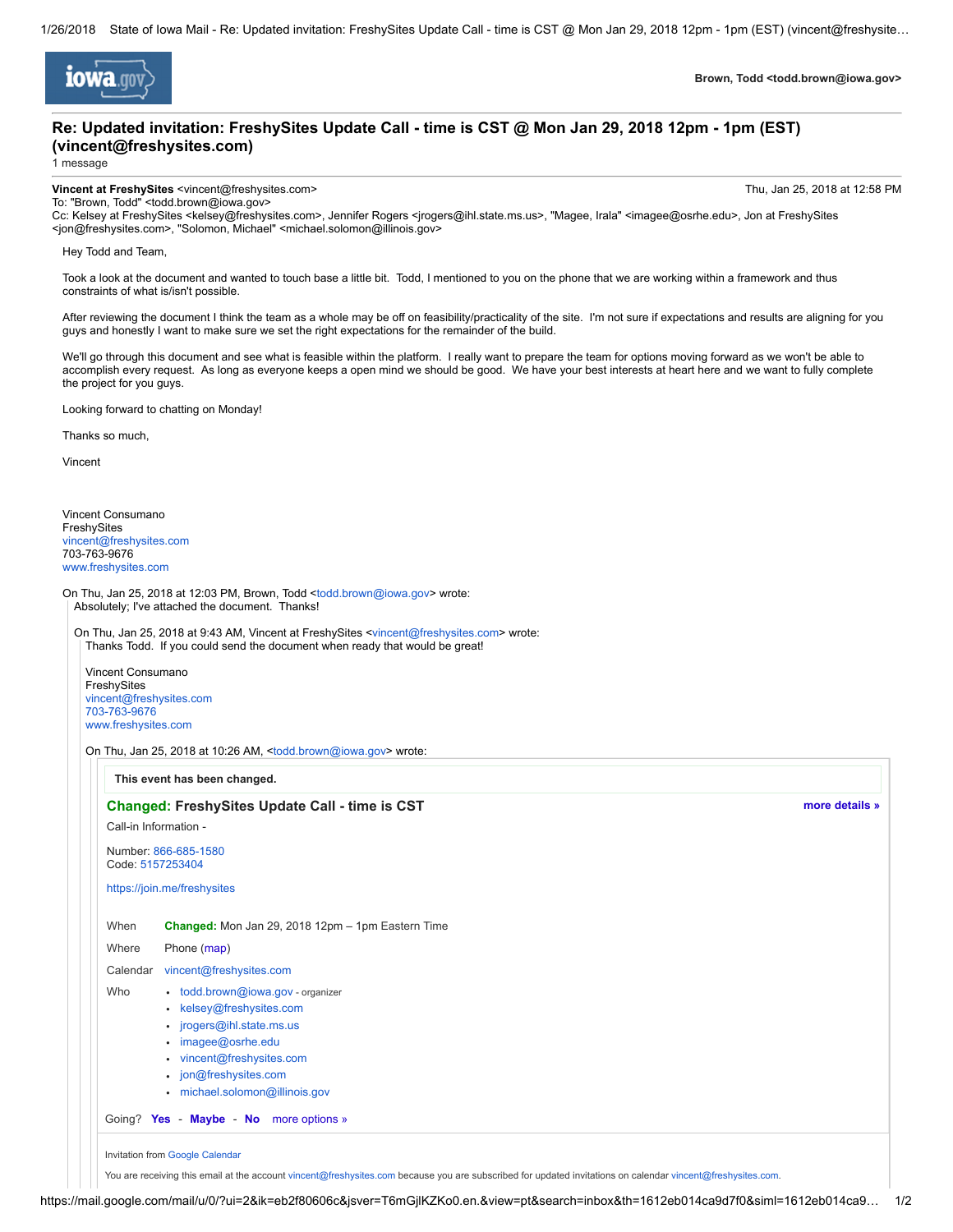

Brown, Todd <todd.brown@iowa.gov>

# Re: Updated invitation: FreshySites Update Call - time is CST @ Mon Jan 29, 2018 12pm - 1pm (EST) (vincent@freshysites.com)

1 message

#### Vincent at FreshySites <vincent@freshysites.com> Thu, Jan 25, 2018 at 12:58 PM

[more details »](https://www.google.com/calendar/event?action=VIEW&eid=MHIxYWF2MjZsMjhiamtwYnU2dGNjZnNoMGZfMjAxODAxMjZUMTcwMDAwWiB2aW5jZW50QGZyZXNoeXNpdGVzLmNvbQ&tok=MTkjdG9kZC5icm93bkBpb3dhLmdvdjRlNDY0YjcxY2EyMzU2YjMxZGQ5YTI4OGQwNDZlMTBkNWVhYTEyNDE&ctz=America/New_York&hl=en)

To: "Brown, Todd" <todd.brown@iowa.gov>

Cc: Kelsey at FreshySites <kelsey@freshysites.com>, Jennifer Rogers <jrogers@ihl.state.ms.us>, "Magee, Irala" <imagee@osrhe.edu>, Jon at FreshySites <jon@freshysites.com>, "Solomon, Michael" <michael.solomon@illinois.gov>

#### Hey Todd and Team,

Took a look at the document and wanted to touch base a little bit. Todd, I mentioned to you on the phone that we are working within a framework and thus constraints of what is/isn't possible.

After reviewing the document I think the team as a whole may be off on feasibility/practicality of the site. I'm not sure if expectations and results are aligning for you guys and honestly I want to make sure we set the right expectations for the remainder of the build.

We'll go through this document and see what is feasible within the platform. I really want to prepare the team for options moving forward as we won't be able to accomplish every request. As long as everyone keeps a open mind we should be good. We have your best interests at heart here and we want to fully complete the project for you guys.

Looking forward to chatting on Monday!

Thanks so much,

Vincent

Vincent Consumano FreshySites [vincent@freshysites.com](mailto:vincent@freshysites.com) 703-763-9676 [www.freshysites.com](http://www.freshysites.com/)

On Thu, Jan 25, 2018 at 12:03 PM, Brown, Todd [<todd.brown@iowa.gov](mailto:todd.brown@iowa.gov)> wrote: Absolutely; I've attached the document. Thanks!

On Thu, Jan 25, 2018 at 9:43 AM, Vincent at FreshySites <[vincent@freshysites.com>](mailto:vincent@freshysites.com) wrote: Thanks Todd. If you could send the document when ready that would be great!

Vincent Consumano FreshySites [vincent@freshysites.com](mailto:vincent@freshysites.com) [703-763-9676](tel:(703)%20763-9676) [www.freshysites.com](http://www.freshysites.com/)

On Thu, Jan 25, 2018 at 10:26 AM, <[todd.brown@iowa.gov](mailto:todd.brown@iowa.gov)> wrote:

This event has been changed.

### Changed: FreshySites Update Call - time is CST

Call-in Information -

Number: [866-685-1580](tel:(866)%20685-1580) Code: [5157253404](tel:(515)%20725-3404)

[https://join.me/freshysites](https://www.google.com/url?q=https%3A%2F%2Fjoin.me%2Ffreshysites&sa=D&usd=2&usg=AFQjCNGV2DWVvKC65jaF1OnLAwenDQF6UA)

When Changed: Mon Jan 29, 2018 12pm – 1pm Eastern Time

## Where Phone [\(map\)](https://maps.google.com/maps?q=Phone&hl=en) Calendar [vincent@freshysites.com](mailto:vincent@freshysites.com)

- Who [todd.brown@iowa.gov](mailto:todd.brown@iowa.gov) organizer
	- [kelsey@freshysites.com](mailto:kelsey@freshysites.com)
		- [jrogers@ihl.state.ms.us](mailto:jrogers@ihl.state.ms.us)
		- [imagee@osrhe.edu](mailto:imagee@osrhe.edu) • [vincent@freshysites.com](mailto:vincent@freshysites.com)
		-
	- [jon@freshysites.com](mailto:jon@freshysites.com) • [michael.solomon@illinois.gov](mailto:michael.solomon@illinois.gov)
	-

Going? [Yes](https://www.google.com/calendar/event?action=RESPOND&eid=MHIxYWF2MjZsMjhiamtwYnU2dGNjZnNoMGZfMjAxODAxMjZUMTcwMDAwWiB2aW5jZW50QGZyZXNoeXNpdGVzLmNvbQ&rst=1&tok=MTkjdG9kZC5icm93bkBpb3dhLmdvdjRlNDY0YjcxY2EyMzU2YjMxZGQ5YTI4OGQwNDZlMTBkNWVhYTEyNDE&ctz=America/New_York&hl=en) - [Maybe](https://www.google.com/calendar/event?action=RESPOND&eid=MHIxYWF2MjZsMjhiamtwYnU2dGNjZnNoMGZfMjAxODAxMjZUMTcwMDAwWiB2aW5jZW50QGZyZXNoeXNpdGVzLmNvbQ&rst=3&tok=MTkjdG9kZC5icm93bkBpb3dhLmdvdjRlNDY0YjcxY2EyMzU2YjMxZGQ5YTI4OGQwNDZlMTBkNWVhYTEyNDE&ctz=America/New_York&hl=en) - [No](https://www.google.com/calendar/event?action=RESPOND&eid=MHIxYWF2MjZsMjhiamtwYnU2dGNjZnNoMGZfMjAxODAxMjZUMTcwMDAwWiB2aW5jZW50QGZyZXNoeXNpdGVzLmNvbQ&rst=2&tok=MTkjdG9kZC5icm93bkBpb3dhLmdvdjRlNDY0YjcxY2EyMzU2YjMxZGQ5YTI4OGQwNDZlMTBkNWVhYTEyNDE&ctz=America/New_York&hl=en) [more options »](https://www.google.com/calendar/event?action=VIEW&eid=MHIxYWF2MjZsMjhiamtwYnU2dGNjZnNoMGZfMjAxODAxMjZUMTcwMDAwWiB2aW5jZW50QGZyZXNoeXNpdGVzLmNvbQ&tok=MTkjdG9kZC5icm93bkBpb3dhLmdvdjRlNDY0YjcxY2EyMzU2YjMxZGQ5YTI4OGQwNDZlMTBkNWVhYTEyNDE&ctz=America/New_York&hl=en)

Invitation from [Google Calendar](https://www.google.com/calendar/)

You are receiving this email at the account [vincent@freshysites.com](mailto:vincent@freshysites.com) because you are subscribed for updated invitations on calendar vincent@freshysites.com.